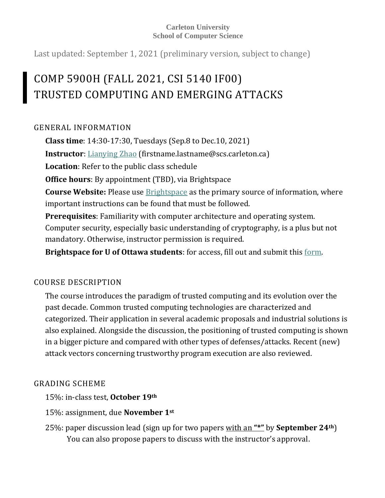#### **Carleton University School of Computer Science**

Last updated: September 1, 2021 (preliminary version, subject to change)

# COMP 5900H (FALL 2021, CSI 5140 IF00) TRUSTED COMPUTING AND EMERGING ATTACKS

# GENERAL INFORMATION

**Class time**: 14:30-17:30, Tuesdays (Sep.8 to Dec.10, 2021) **Instructor**: [Lianying Zhao](https://people.scs.carleton.ca/~lianyingzhao/) (firstname.lastname@scs.carleton.ca) **Location**: Refer to the public class schedule **Office hours**: By appointment (TBD), via Brightspace **Course Website:** Please use [Brightspace](https://brightspace.carleton.ca/) as the primary source of information, where important instructions can be found that must be followed. **Prerequisites**: Familiarity with computer architecture and operating system. Computer security, especially basic understanding of cryptography, is a plus but not mandatory. Otherwise, instructor permission is required. **Brightspace for U of Ottawa students**: for access, fill out and submit this [form.](https://gradstudents.carleton.ca/faculty-of-graduate-and-postdoctoral-affairs-access-to-brightspace/)

# COURSE DESCRIPTION

The course introduces the paradigm of trusted computing and its evolution over the past decade. Common trusted computing technologies are characterized and categorized. Their application in several academic proposals and industrial solutions is also explained. Alongside the discussion, the positioning of trusted computing is shown in a bigger picture and compared with other types of defenses/attacks. Recent (new) attack vectors concerning trustworthy program execution are also reviewed.

# GRADING SCHEME

15%: in-class test, **October 19th**

- 15%: assignment, due **November 1st**
- 25%: paper discussion lead (sign up for two papers with an **"\*"** by **September 24th**) You can also propose papers to discuss with the instructor's approval.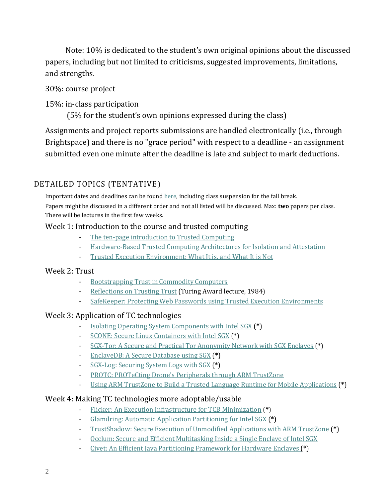Note: 10% is dedicated to the student's own original opinions about the discussed papers, including but not limited to criticisms, suggested improvements, limitations, and strengths.

#### 30%: course project

#### 15%: in-class participation

(5% for the student's own opinions expressed during the class)

Assignments and project reports submissions are handled electronically (i.e., through Brightspace) and there is no "grace period" with respect to a deadline - an assignment submitted even one minute after the deadline is late and subject to mark deductions.

# DETAILED TOPICS (TENTATIVE)

Important dates and deadlines can be foun[d here,](https://carleton.ca/registrar/registration/dates/academic-dates/) including class suspension for the fall break. Papers might be discussed in a different order and not all listed will be discussed. Max: **two** papers per class. There will be lectures in the first few weeks.

#### Week 1: Introduction to the course and trusted computing

- [The ten-page introduction to Trusted Computing](https://www.cs.ox.ac.uk/files/1873/RR-08-11.PDF)
- [Hardware-Based Trusted Computing Architectures for Isolation and Attestation](https://ieeexplore.ieee.org/document/7807249)
- [Trusted Execution Environment: What It is, and What It is Not](https://ieeexplore.ieee.org/document/7345265)

#### Week 2: Trust

- [Bootstrapping Trust in Commodity Computers](https://dl.acm.org/citation.cfm?id=1849988)
- [Reflections on Trusting Trust](https://dl.acm.org/citation.cfm?id=358210) (Turing Award lecture, 1984)
- [SafeKeeper: Protecting Web Passwords using Trusted Execution Environments](https://dl.acm.org/citation.cfm?id=3186101)

## Week 3: Application of TC technologies

- [Isolating Operating System Components with Intel SGX](http://dl.acm.org/citation.cfm?id=3007796) (**\***)
- [SCONE: Secure Linux Containers with Intel SGX](https://www.usenix.org/system/files/conference/osdi16/osdi16-arnautov.pdf) (**\***)
- [SGX-Tor: A Secure and Practical Tor Anonymity Network with SGX Enclaves](https://ieeexplore.ieee.org/document/8464097) (**\***)
- [EnclaveDB: A Secure Database using SGX](https://ieeexplore.ieee.org/document/8418608) (**\***)
- [SGX-Log: Securing System Logs with SGX](https://dl.acm.org/doi/10.1145/3052973.3053034) (**\***)
- [PROTC: PROTeCting Drone's Peripherals through ARM TrustZone](https://dl.acm.org/doi/10.1145/3086439.3086443)
- [Using ARM TrustZone to Build a Trusted Language Runtime for Mobile Applications](https://dl.acm.org/doi/10.1145/2541940.2541949) (**\***)

#### Week 4: Making TC technologies more adoptable/usable

- [Flicker: An Execution Infrastructure for TCB Minimization](https://dl.acm.org/citation.cfm?id=1352625) (**\***)
- [Glamdring: Automatic Application Partitioning for Intel SGX](https://www.usenix.org/system/files/conference/atc17/atc17-lind.pdf) (**\***)
- [TrustShadow: Secure Execution of Unmodified Applications with ARM TrustZone](https://dl.acm.org/citation.cfm?id=3081349) (**\***)
- [Occlum: Secure and Efficient Multitasking Inside a Single Enclave of Intel SGX](https://dl.acm.org/doi/pdf/10.1145/3373376.3378469)
- [Civet: An Efficient Java Partitioning Framework for Hardware Enclaves](https://www.usenix.org/system/files/sec20spring_tsai_prepub.pdf) (**\***)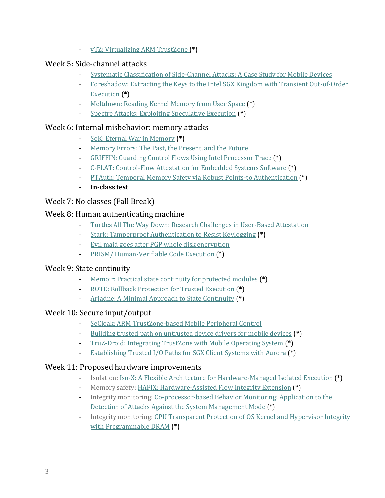- [vTZ: Virtualizing ARM TrustZone](https://www.usenix.org/system/files/conference/usenixsecurity17/sec17-hua.pdf) (**\***)

### Week 5: Side-channel attacks

- [Systematic Classification of Side-Channel Attacks:](https://ieeexplore.ieee.org/document/8141882) A Case Study for Mobile Devices
- [Foreshadow: Extracting the Keys to the Intel SGX Kingdom with Transient Out-of-Order](https://www.usenix.org/conference/usenixsecurity18/presentation/bulck)  [Execution](https://www.usenix.org/conference/usenixsecurity18/presentation/bulck) (**\***)
- [Meltdown: Reading Kernel Memory from User Space](https://www.usenix.org/conference/usenixsecurity18/presentation/lipp) (**\***)
- [Spectre Attacks: Exploiting Speculative Execution](https://ieeexplore.ieee.org/abstract/document/8835233) (**\***)

## Week 6: Internal misbehavior: memory attacks

- [SoK: Eternal War in Memory](https://ieeexplore.ieee.org/document/6547101) (**\***)
- [Memory Errors: The Past, the Present, and the Future](https://link.springer.com/chapter/10.1007/978-3-642-33338-5_5)
- [GRIFFIN: Guarding Control Flows Using Intel Processor Trace](https://dl.acm.org/doi/10.1145/3093337.3037716) (\*)
- [C-FLAT: Control-Flow Attestation for Embedded Systems Software](https://dl.acm.org/doi/abs/10.1145/2976749.2978358) (\*)
- [PTAuth: Temporal Memory Safety via Robust Points-to Authentication](https://www.usenix.org/system/files/sec21summer_mirzazade.pdf) (\*)
- **In-class test**

# Week 7: No classes (Fall Break)

# Week 8: Human authenticating machine

- [Turtles All The Way Down: Research Challenges in User-Based Attestation](https://www.usenix.org/legacy/event/hotsec07/tech/full_papers/mccune/mccune.pdf)
- [Stark: Tamperproof Authentication to Resist Keylogging](https://fc13.ifca.ai/proc/9-1.pdf) (**\***)
- [Evil maid goes after PGP whole disk encryption](https://dl.acm.org/citation.cfm?id=1854103)
- [PRISM/ Human-Verifiable Code Execution](https://netsec.ethz.ch/publications/papers/PRISM-2007.pdf) (\*)

## Week 9: State continuity

- [Memoir: Practical state continuity for protected modules](https://www.microsoft.com/en-us/research/publication/memoir-practical-state-continuity-for-protected-modules/) (**\***)
- [ROTE: Rollback Protection for Trusted Execution](https://www.usenix.org/system/files/conference/usenixsecurity17/sec17-matetic.pdf) (**\***)
- [Ariadne: A Minimal Approach to State Continuity](https://www.usenix.org/system/files/conference/usenixsecurity16/sec16_paper_strackx.pdf) (**\***)

## Week 10: Secure input/output

- [SeCloak: ARM TrustZone-based Mobile Peripheral Control](https://dl.acm.org/doi/10.1145/3210240.3210334)
- [Building trusted path on untrusted device drivers for mobile devices](https://dl.acm.org/citation.cfm?id=2637225) (**\***)
- [TruZ-Droid: Integrating TrustZone with Mobile Operating System](https://dl.acm.org/citation.cfm?id=3210338) (**\***)
- [Establishing Trusted I/O Paths for SGX Client Systems with Aurora](https://ieeexplore.ieee.org/document/8859293) (\*)

## Week 11: Proposed hardware improvements

- Isolation[: Iso-X: A Flexible Architecture for Hardware-Managed Isolated Execution](https://ieeexplore.ieee.org/document/7011388) (**\***)
- Memory safety: [HAFIX: Hardware-Assisted Flow Integrity Extension](https://ieeexplore.ieee.org/abstract/document/7167258) (\*)
- Integrity monitoring: [Co-processor-based Behavior Monitoring: Application to the](https://dl.acm.org/doi/10.1145/3134600.3134622)  [Detection of Attacks Against the System Management Mode](https://dl.acm.org/doi/10.1145/3134600.3134622) (\*)
- Integrity monitoring: [CPU Transparent Protection of OS Kernel and Hypervisor Integrity](https://dl.acm.org/doi/abs/10.1145/2508148.2485956)  [with Programmable DRAM](https://dl.acm.org/doi/abs/10.1145/2508148.2485956) (\*)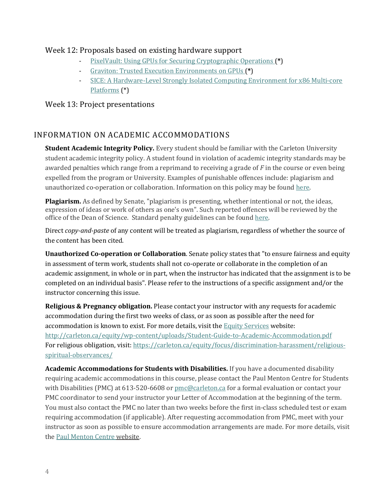#### Week 12: Proposals based on existing hardware support

- [PixelVault: Using GPUs for Securing Cryptographic Operations](https://dl.acm.org/citation.cfm?id=2660316&dl=ACM&coll=DL) (**\***)
- [Graviton: Trusted Execution Environments on GPUs](https://www.usenix.org/system/files/osdi18-volos.pdf) (**\***)
- [SICE: A Hardware-Level Strongly Isolated Computing Environment for x86 Multi-core](https://dl.acm.org/doi/10.1145/2046707.2046752)  [Platforms](https://dl.acm.org/doi/10.1145/2046707.2046752) (\*)

#### Week 13: Project presentations

# INFORMATION ON ACADEMIC ACCOMMODATIONS

**Student Academic Integrity Policy.** Every student should be familiar with the Carleton University student academic integrity policy. A student found in violation of academic integrity standards may be awarded penalties which range from a reprimand to receiving a grade of *F* in the course or even being expelled from the program or University. Examples of punishable offences include: plagiarism and unauthorized co-operation or collaboration. Information on this policy may be found [here.](https://carleton.ca/registrar/academic-integrity/) 

**Plagiarism.** As defined by Senate, "plagiarism is presenting, whether intentional or not, the ideas, expression of ideas or work of others as one's own". Such reported offences will be reviewed by the office of the Dean of Science. Standard penalty guidelines can be foun[d here.](https://science.carleton.ca/academic-integrity/)

Direct *copy-and-paste* of any content will be treated as plagiarism, regardless of whether the source of the content has been cited.

**Unauthorized Co-operation or Collaboration**. Senate policy states that "to ensure fairness and equity in assessment of term work, students shall not co-operate or collaborate in the completion of an academic assignment, in whole or in part, when the instructor has indicated that the assignment is to be completed on an individual basis". Please refer to the instructions of a specific assignment and/or the instructor concerning this issue.

**Religious & Pregnancy obligation.** Please contact your instructor with any requests for academic accommodation during the first two weeks of class, or as soon as possible after the need for accommodation is known to exist. For more details, visit th[e Equity Services](https://carleton.ca/womensstudies/resources-and-links/equity-services/) website: <http://carleton.ca/equity/wp-content/uploads/Student-Guide-to-Academic-Accommodation.pdf> For religious obligation, visit: [https://carleton.ca/equity/focus/discrimination-harassment/religious](https://carleton.ca/equity/focus/discrimination-harassment/religious-spiritual-observances/)[spiritual-observances/](https://carleton.ca/equity/focus/discrimination-harassment/religious-spiritual-observances/)

**Academic Accommodations for Students with Disabilities.** If you have a documented disability requiring academic accommodations in this course, please contact the Paul Menton Centre for Students with Disabilities (PMC) at 613-520-6608 or [pmc@carleton.ca](mailto:pmc@carleton.ca) for a formal evaluation or contact your PMC coordinator to send your instructor your Letter of Accommodation at the beginning of the term. You must also contact the PMC no later than two weeks before the first in-class scheduled test or exam requiring accommodation (if applicable). After requesting accommodation from PMC, meet with your instructor as soon as possible to ensure accommodation arrangements are made. For more details, visit the [Paul Menton Centre website.](http://carleton.ca/pmc)